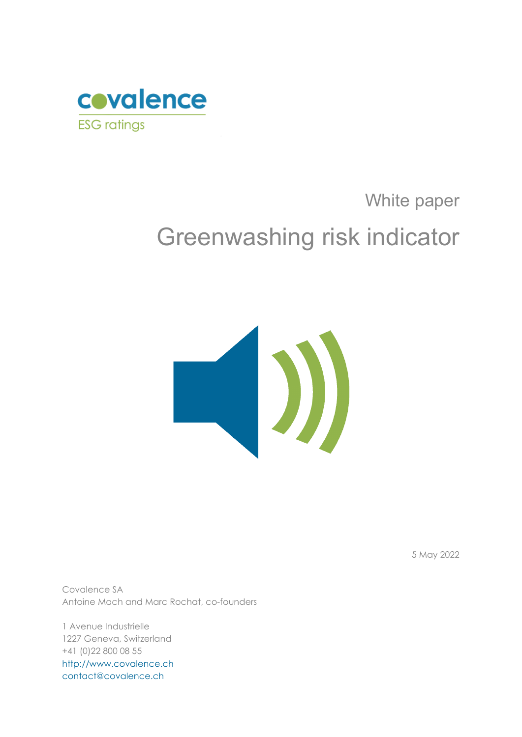

# White paper Greenwashing risk indicator



5 May 2022

Covalence SA Antoine Mach and Marc Rochat, co-founders

1 Avenue Industrielle 1227 Geneva, Switzerland +41 (0)22 800 08 55 [http://www.covalence.ch](http://www.covalence.ch/) [contact@covalence.ch](mailto:contact@covalence.ch)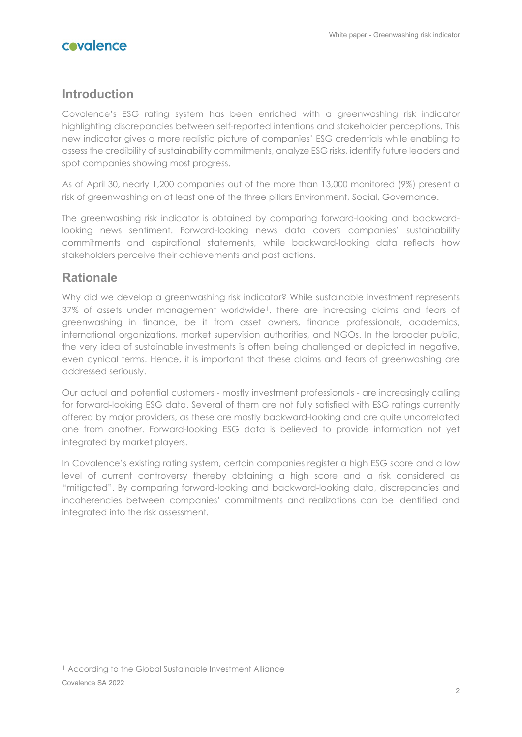## **Introduction**

Covalence's ESG rating system has been enriched with a greenwashing risk indicator highlighting discrepancies between self-reported intentions and stakeholder perceptions. This new indicator gives a more realistic picture of companies' ESG credentials while enabling to assess the credibility of sustainability commitments, analyze ESG risks, identify future leaders and spot companies showing most progress.

As of April 30, nearly 1,200 companies out of the more than 13,000 monitored (9%) present a risk of greenwashing on at least one of the three pillars Environment, Social, Governance.

The greenwashing risk indicator is obtained by comparing forward-looking and backwardlooking news sentiment. Forward-looking news data covers companies' sustainability commitments and aspirational statements, while backward-looking data reflects how stakeholders perceive their achievements and past actions.

## **Rationale**

Why did we develop a greenwashing risk indicator? While sustainable investment represents 37% of assets under management worldwide[1](#page-1-0), there are increasing claims and fears of greenwashing in finance, be it from asset owners, finance professionals, academics, international organizations, market supervision authorities, and NGOs. In the broader public, the very idea of sustainable investments is often being challenged or depicted in negative, even cynical terms. Hence, it is important that these claims and fears of greenwashing are addressed seriously.

Our actual and potential customers - mostly investment professionals - are increasingly calling for forward-looking ESG data. Several of them are not fully satisfied with ESG ratings currently offered by major providers, as these are mostly backward-looking and are quite uncorrelated one from another. Forward-looking ESG data is believed to provide information not yet integrated by market players.

In Covalence's existing rating system, certain companies register a high ESG score and a low level of current controversy thereby obtaining a high score and a risk considered as "mitigated". By comparing forward-looking and backward-looking data, discrepancies and incoherencies between companies' commitments and realizations can be identified and integrated into the risk assessment.

<span id="page-1-0"></span><sup>&</sup>lt;sup>1</sup> According to the Global Sustainable Investment Alliance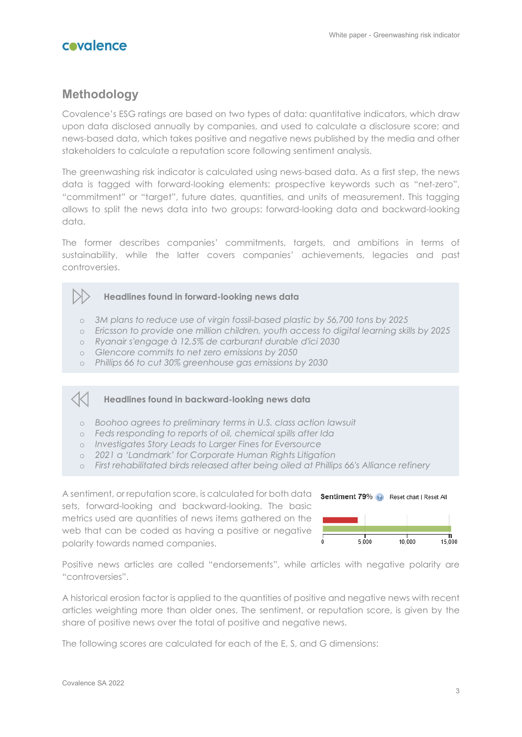

## **Methodology**

Covalence's ESG ratings are based on two types of data: quantitative indicators, which draw upon data disclosed annually by companies, and used to calculate a disclosure score; and news-based data, which takes positive and negative news published by the media and other stakeholders to calculate a reputation score following sentiment analysis.

The greenwashing risk indicator is calculated using news-based data. As a first step, the news data is tagged with forward-looking elements: prospective keywords such as "net-zero", "commitment" or "target", future dates, quantities, and units of measurement. This tagging allows to split the news data into two groups: forward-looking data and backward-looking data.

The former describes companies' commitments, targets, and ambitions in terms of sustainability, while the latter covers companies' achievements, legacies and past controversies.

#### **Headlines found in forward-looking news data**

- o *3M plans to reduce use of virgin fossil-based plastic by 56,700 tons by 2025*
- o *Ericsson to provide one million children, youth access to digital learning skills by 2025*
- o *Ryanair s'engage à 12,5% de carburant durable d'ici 2030*
- o *Glencore commits to net zero emissions by 2050*
- o *Phillips 66 to cut 30% greenhouse gas emissions by 2030*

#### **Headlines found in backward-looking news data**

- o *Boohoo agrees to preliminary terms in U.S. class action lawsuit*
- o *Feds responding to reports of oil, chemical spills after Ida*
- o *Investigates Story Leads to Larger Fines for Eversource*
- o *2021 a 'Landmark' for Corporate Human Rights Litigation*
- o *First rehabilitated birds released after being oiled at Phillips 66's Alliance refinery*

A sentiment, or reputation score, is calculated for both data sets, forward-looking and backward-looking. The basic metrics used are quantities of news items gathered on the web that can be coded as having a positive or negative polarity towards named companies.



Positive news articles are called "endorsements", while articles with negative polarity are "controversies".

A historical erosion factor is applied to the quantities of positive and negative news with recent articles weighting more than older ones. The sentiment, or reputation score, is given by the share of positive news over the total of positive and negative news.

The following scores are calculated for each of the E, S, and G dimensions: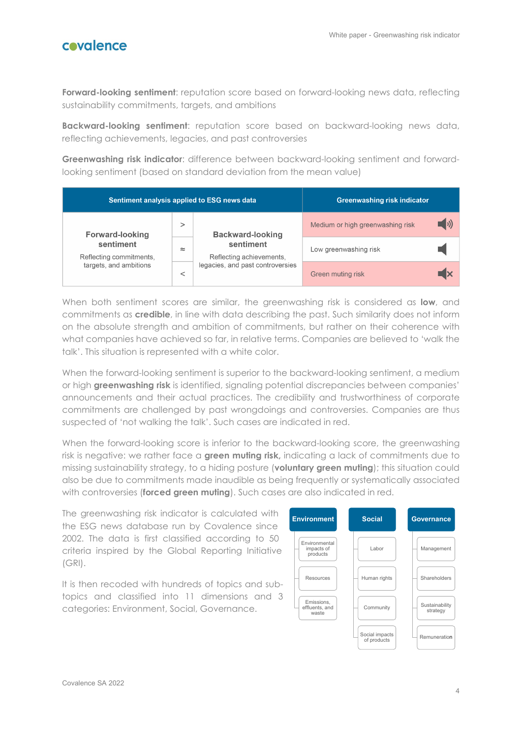**Forward-looking sentiment**: reputation score based on forward-looking news data, reflecting sustainability commitments, targets, and ambitions

**Backward-looking sentiment**: reputation score based on backward-looking news data, reflecting achievements, legacies, and past controversies

**Greenwashing risk indicator**: difference between backward-looking sentiment and forwardlooking sentiment (based on standard deviation from the mean value)

| Sentiment analysis applied to ESG news data                                              |          |                                                                                                      | Greenwashing risk indicator      |  |
|------------------------------------------------------------------------------------------|----------|------------------------------------------------------------------------------------------------------|----------------------------------|--|
| <b>Forward-looking</b><br>sentiment<br>Reflecting commitments,<br>targets, and ambitions | $\rm{~}$ | <b>Backward-looking</b><br>sentiment<br>Reflecting achievements,<br>legacies, and past controversies | Medium or high greenwashing risk |  |
|                                                                                          | $\simeq$ |                                                                                                      | Low greenwashing risk            |  |
|                                                                                          |          |                                                                                                      | Green muting risk                |  |

When both sentiment scores are similar, the greenwashing risk is considered as **low**, and commitments as **credible**, in line with data describing the past. Such similarity does not inform on the absolute strength and ambition of commitments, but rather on their coherence with what companies have achieved so far, in relative terms. Companies are believed to 'walk the talk'. This situation is represented with a white color.

When the forward-looking sentiment is superior to the backward-looking sentiment, a medium or high **greenwashing risk** is identified, signaling potential discrepancies between companies' announcements and their actual practices. The credibility and trustworthiness of corporate commitments are challenged by past wrongdoings and controversies. Companies are thus suspected of 'not walking the talk'. Such cases are indicated in red.

When the forward-looking score is inferior to the backward-looking score, the greenwashing risk is negative: we rather face a **green muting risk,** indicating a lack of commitments due to missing sustainability strategy, to a hiding posture (**voluntary green muting**); this situation could also be due to commitments made inaudible as being frequently or systematically associated with controversies (**forced green muting**). Such cases are also indicated in red.

The greenwashing risk indicator is calculated with the ESG news database run by Covalence since 2002. The data is first classified according to 50 criteria inspired by the Global Reporting Initiative (GRI).

It is then recoded with hundreds of topics and subtopics and classified into 11 dimensions and 3 categories: Environment, Social, Governance.

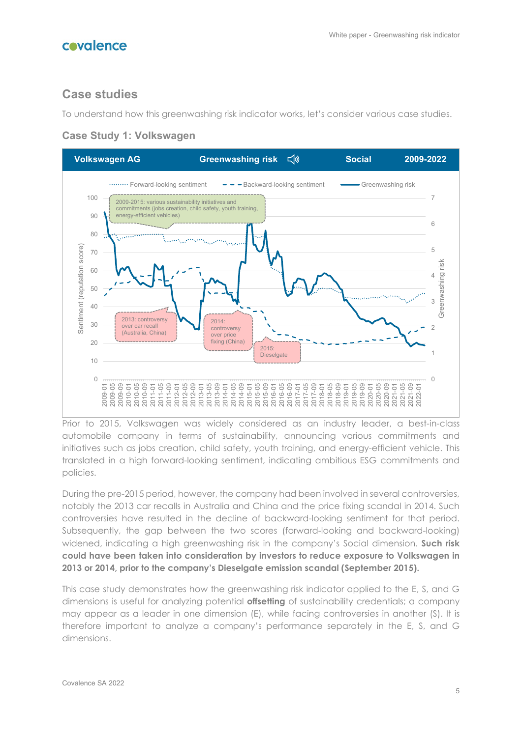## **Case studies**

To understand how this greenwashing risk indicator works, let's consider various case studies.



#### **Case Study 1: Volkswagen**

Prior to 2015, Volkswagen was widely considered as an industry leader, a best-in-class automobile company in terms of sustainability, announcing various commitments and initiatives such as jobs creation, child safety, youth training, and energy-efficient vehicle. This translated in a high forward-looking sentiment, indicating ambitious ESG commitments and policies.

During the pre-2015 period, however, the company had been involved in several controversies, notably the 2013 car recalls in Australia and China and the price fixing scandal in 2014. Such controversies have resulted in the decline of backward-looking sentiment for that period. Subsequently, the gap between the two scores (forward-looking and backward-looking) widened, indicating a high greenwashing risk in the company's Social dimension. **Such risk could have been taken into consideration by investors to reduce exposure to Volkswagen in 2013 or 2014, prior to the company's Dieselgate emission scandal (September 2015).**

This case study demonstrates how the greenwashing risk indicator applied to the E, S, and G dimensions is useful for analyzing potential **offsetting** of sustainability credentials; a company may appear as a leader in one dimension (E), while facing controversies in another (S). It is therefore important to analyze a company's performance separately in the E, S, and G dimensions.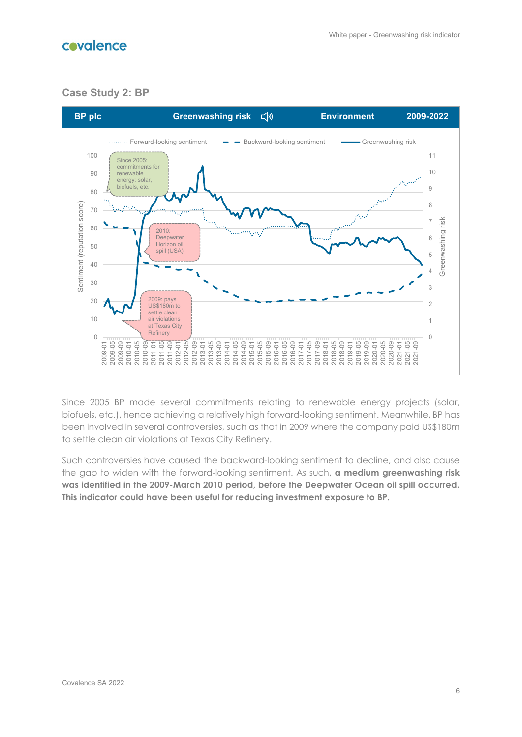



## **Case Study 2: BP**



Since 2005 BP made several commitments relating to renewable energy projects (solar, biofuels, etc.), hence achieving a relatively high forward-looking sentiment. Meanwhile, BP has been involved in several controversies, such as that in 2009 where the company paid US\$180m to settle clean air violations at Texas City Refinery.

Such controversies have caused the backward-looking sentiment to decline, and also cause the gap to widen with the forward-looking sentiment. As such, **a medium greenwashing risk was identified in the 2009-March 2010 period, before the Deepwater Ocean oil spill occurred. This indicator could have been useful for reducing investment exposure to BP.**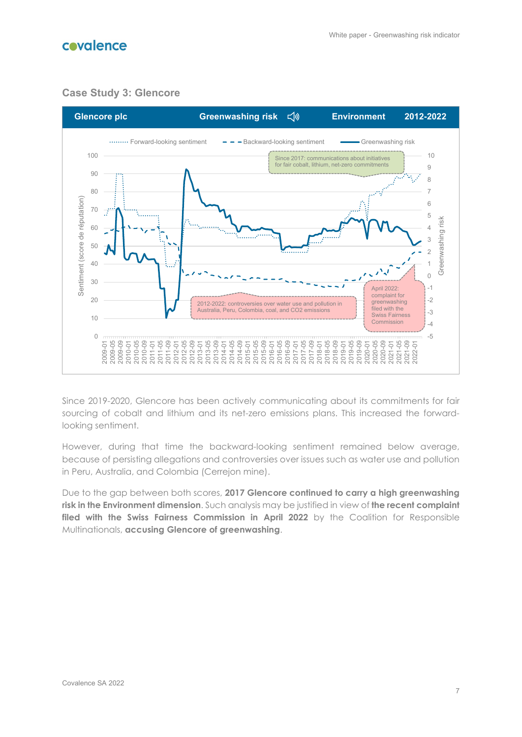

### **Case Study 3: Glencore**



Since 2019-2020, Glencore has been actively communicating about its commitments for fair sourcing of cobalt and lithium and its net-zero emissions plans. This increased the forwardlooking sentiment.

However, during that time the backward-looking sentiment remained below average, because of persisting allegations and controversies over issues such as water use and pollution in Peru, Australia, and Colombia (Cerrejon mine).

Due to the gap between both scores, **2017 Glencore continued to carry a high greenwashing risk in the Environment dimension**. Such analysis may be justified in view of **the recent complaint**  filed with the Swiss Fairness Commission in April 2022 by the Coalition for Responsible Multinationals, **accusing Glencore of greenwashing**.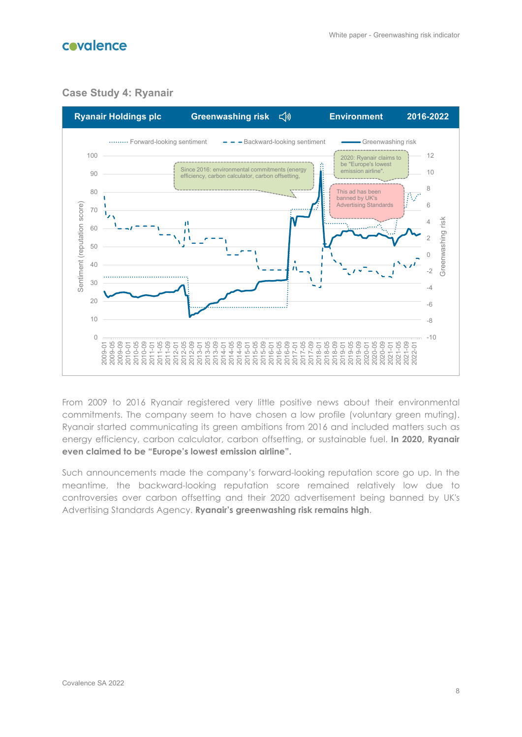

#### **Case Study 4: Ryanair**



From 2009 to 2016 Ryanair registered very little positive news about their environmental commitments. The company seem to have chosen a low profile (voluntary green muting). Ryanair started communicating its green ambitions from 2016 and included matters such as energy efficiency, carbon calculator, carbon offsetting, or sustainable fuel. **In 2020, Ryanair even claimed to be "Europe's lowest emission airline".**

Such announcements made the company's forward-looking reputation score go up. In the meantime, the backward-looking reputation score remained relatively low due to controversies over carbon offsetting and their 2020 advertisement being banned by UK's Advertising Standards Agency. **Ryanair's greenwashing risk remains high**.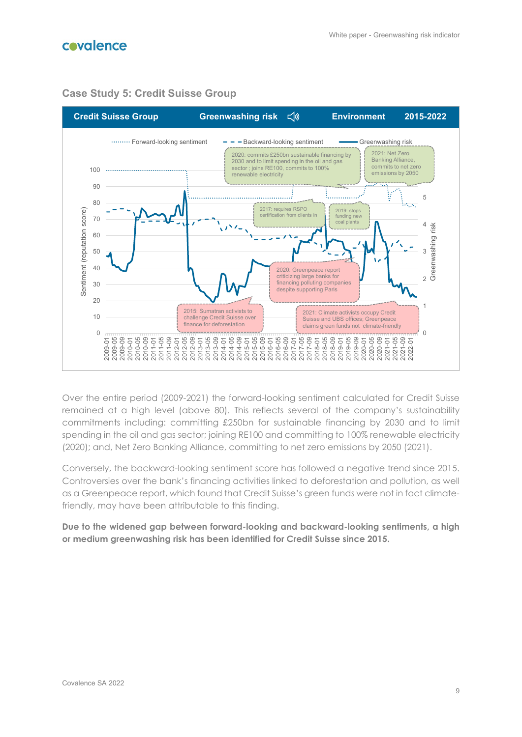

#### **Case Study 5: Credit Suisse Group**

Over the entire period (2009-2021) the forward-looking sentiment calculated for Credit Suisse remained at a high level (above 80). This reflects several of the company's sustainability commitments including: committing £250bn for sustainable financing by 2030 and to limit spending in the oil and gas sector; joining RE100 and committing to 100% renewable electricity (2020); and, Net Zero Banking Alliance, committing to net zero emissions by 2050 (2021).

Conversely, the backward-looking sentiment score has followed a negative trend since 2015. Controversies over the bank's financing activities linked to deforestation and pollution, as well as a Greenpeace report, which found that Credit Suisse's green funds were not in fact climatefriendly, may have been attributable to this finding.

**Due to the widened gap between forward-looking and backward-looking sentiments, a high or medium greenwashing risk has been identified for Credit Suisse since 2015.**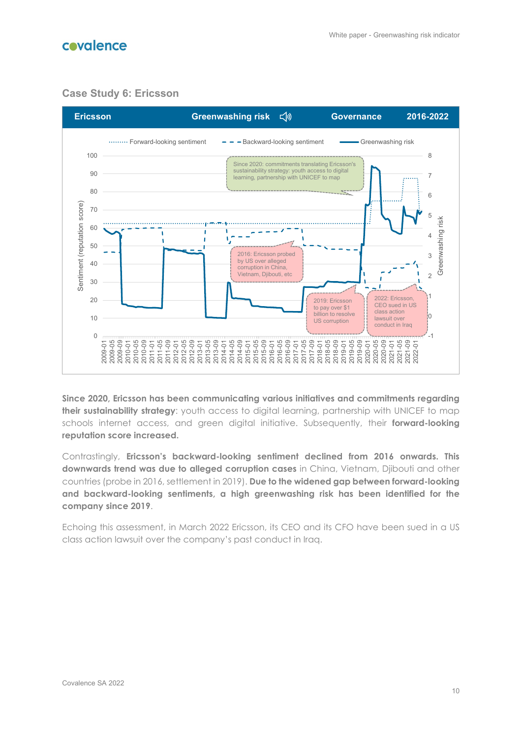

#### **Case Study 6: Ericsson**



**Since 2020, Ericsson has been communicating various initiatives and commitments regarding their sustainability strategy**: youth access to digital learning, partnership with UNICEF to map schools internet access, and green digital initiative. Subsequently, their **forward-looking reputation score increased.**

Contrastingly, **Ericsson's backward-looking sentiment declined from 2016 onwards. This downwards trend was due to alleged corruption cases** in China, Vietnam, Djibouti and other countries (probe in 2016, settlement in 2019). **Due to the widened gap between forward-looking and backward-looking sentiments, a high greenwashing risk has been identified for the company since 2019**.

Echoing this assessment, in March 2022 Ericsson, its CEO and its CFO have been sued in a US class action lawsuit over the company's past conduct in Iraq.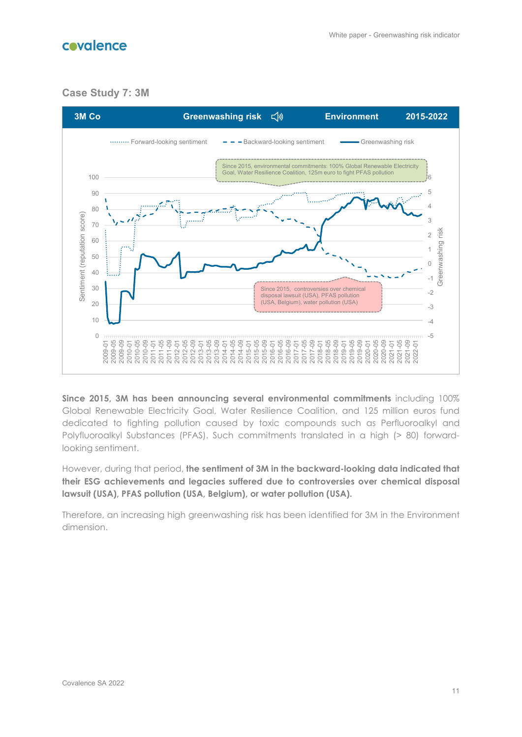

### **Case Study 7: 3M**



**Since 2015, 3M has been announcing several environmental commitments** including 100% Global Renewable Electricity Goal, Water Resilience Coalition, and 125 million euros fund dedicated to fighting pollution caused by toxic compounds such as Perfluoroalkyl and Polyfluoroalkyl Substances (PFAS). Such commitments translated in a high (> 80) forwardlooking sentiment.

However, during that period, **the sentiment of 3M in the backward-looking data indicated that their ESG achievements and legacies suffered due to controversies over chemical disposal lawsuit (USA), PFAS pollution (USA, Belgium), or water pollution (USA).**

Therefore, an increasing high greenwashing risk has been identified for 3M in the Environment dimension.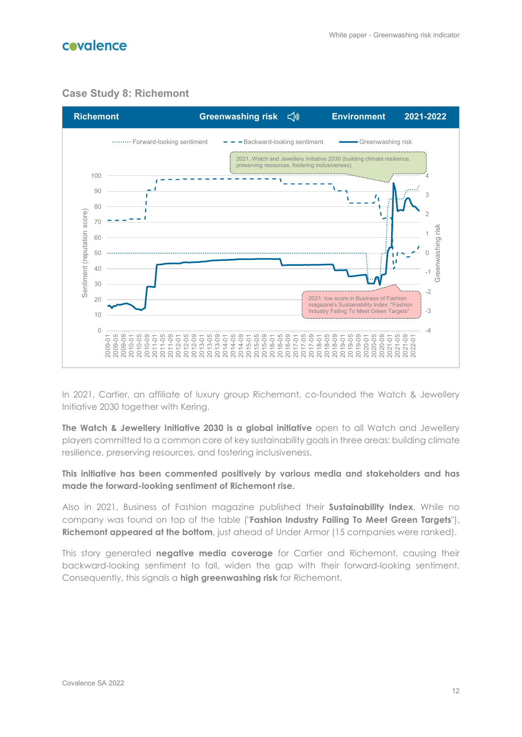

### **Case Study 8: Richemont**



In 2021, Cartier, an affiliate of luxury group Richemont, co-founded the Watch & Jewellery Initiative 2030 together with Kering.

**The Watch & Jewellery Initiative 2030 is a global initiative** open to all Watch and Jewellery players committed to a common core of key sustainability goals in three areas: building climate resilience, preserving resources, and fostering inclusiveness.

#### **This initiative has been commented positively by various media and stakeholders and has made the forward-looking sentiment of Richemont rise.**

Also in 2021, Business of Fashion magazine published their **Sustainability Index**. While no company was found on top of the table ("**Fashion Industry Failing To Meet Green Targets**"), **Richemont appeared at the bottom**, just ahead of Under Armor (15 companies were ranked).

This story generated **negative media coverage** for Cartier and Richemont, causing their backward-looking sentiment to fall, widen the gap with their forward-looking sentiment. Consequently, this signals a **high greenwashing risk** for Richemont.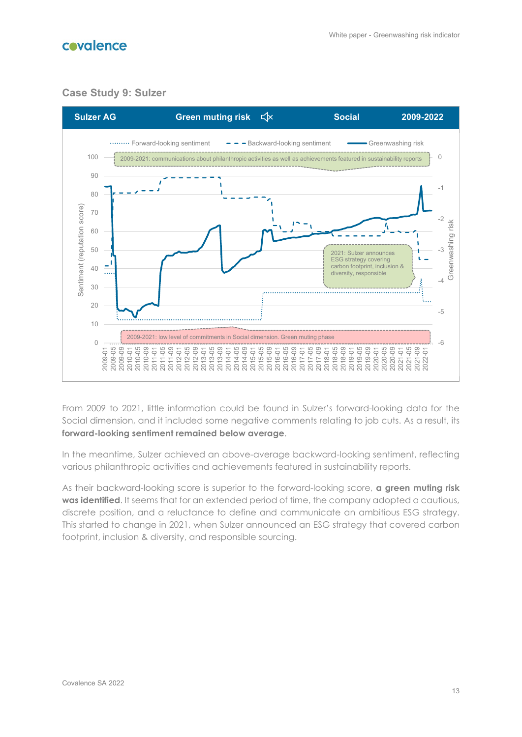

#### **Case Study 9: Sulzer**



From 2009 to 2021, little information could be found in Sulzer's forward-looking data for the Social dimension, and it included some negative comments relating to job cuts. As a result, its **forward-looking sentiment remained below average**.

In the meantime, Sulzer achieved an above-average backward-looking sentiment, reflecting various philanthropic activities and achievements featured in sustainability reports.

As their backward-looking score is superior to the forward-looking score, **a green muting risk was identified**. It seems that for an extended period of time, the company adopted a cautious, discrete position, and a reluctance to define and communicate an ambitious ESG strategy. This started to change in 2021, when Sulzer announced an ESG strategy that covered carbon footprint, inclusion & diversity, and responsible sourcing.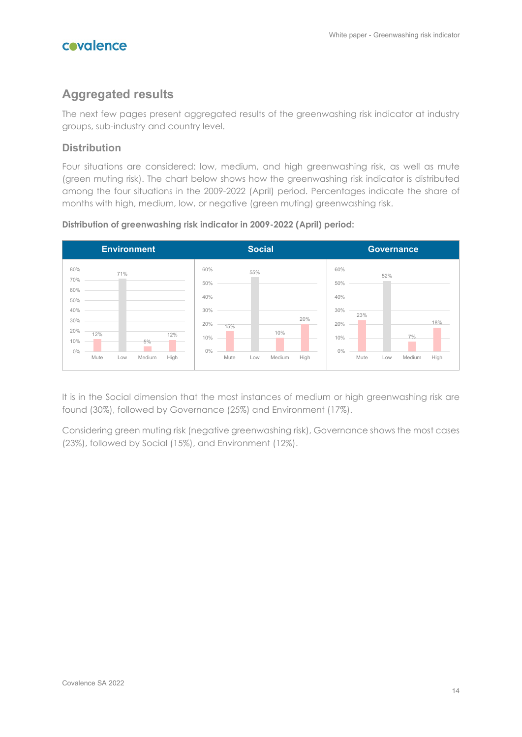

## **Aggregated results**

The next few pages present aggregated results of the greenwashing risk indicator at industry groups, sub-industry and country level.

### **Distribution**

Four situations are considered: low, medium, and high greenwashing risk, as well as mute (green muting risk). The chart below shows how the greenwashing risk indicator is distributed among the four situations in the 2009-2022 (April) period. Percentages indicate the share of months with high, medium, low, or negative (green muting) greenwashing risk.



#### **Distribution of greenwashing risk indicator in 2009-2022 (April) period:**

It is in the Social dimension that the most instances of medium or high greenwashing risk are found (30%), followed by Governance (25%) and Environment (17%).

Considering green muting risk (negative greenwashing risk), Governance shows the most cases (23%), followed by Social (15%), and Environment (12%).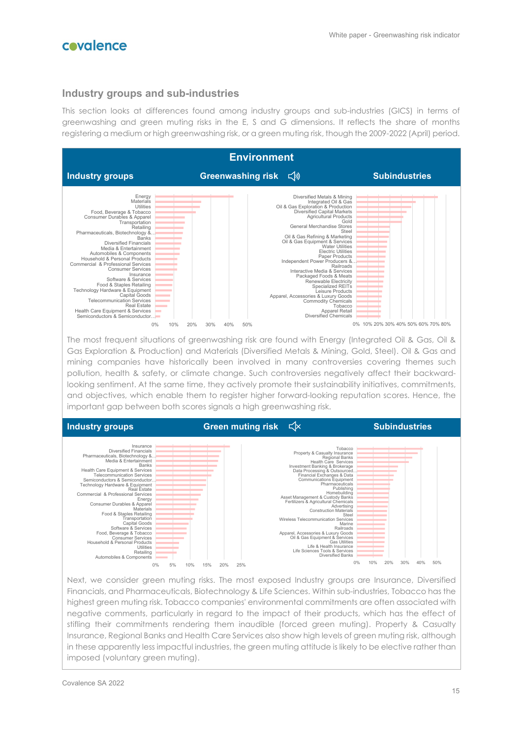

#### **Industry groups and sub-industries**

This section looks at differences found among industry groups and sub-industries (GICS) in terms of greenwashing and green muting risks in the E, S and G dimensions. It reflects the share of months registering a medium or high greenwashing risk, or a green muting risk, though the 2009-2022 (April) period.



The most frequent situations of greenwashing risk are found with Energy (Integrated Oil & Gas, Oil & Gas Exploration & Production) and Materials (Diversified Metals & Mining, Gold, Steel). Oil & Gas and mining companies have historically been involved in many controversies covering themes such pollution, health & safety, or climate change. Such controversies negatively affect their backwardlooking sentiment. At the same time, they actively promote their sustainability initiatives, commitments, and objectives, which enable them to register higher forward-looking reputation scores. Hence, the important gap between both scores signals a high greenwashing risk.



Next, we consider green muting risks. The most exposed Industry groups are Insurance, Diversified Financials, and Pharmaceuticals, Biotechnology & Life Sciences. Within sub-industries, Tobacco has the highest green muting risk. Tobacco companies' environmental commitments are often associated with negative comments, particularly in regard to the impact of their products, which has the effect of stifling their commitments rendering them inaudible (forced green muting). Property & Casualty Insurance, Regional Banks and Health Care Services also show high levels of green muting risk, although in these apparently less impactful industries, the green muting attitude is likely to be elective rather than imposed (voluntary green muting).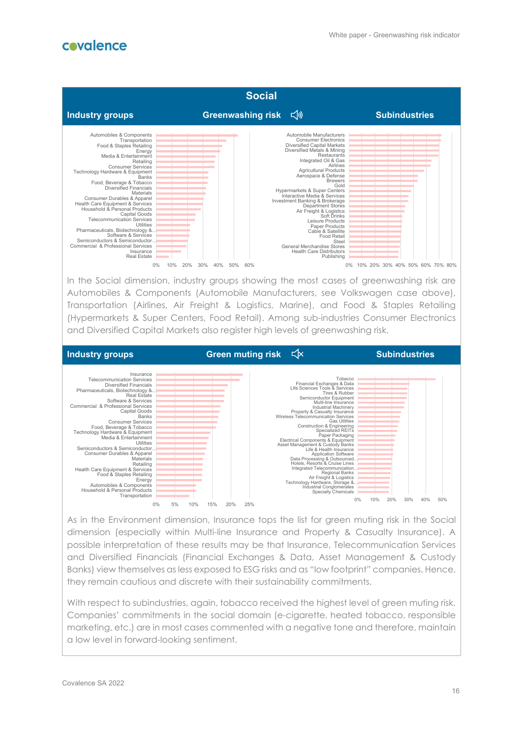

**Industry groups Green muting risk**  $\leq$   $\times$  **Subindustries** 0% 5% 10% 15% 20% 25% Sunan i Julia<br>Transporta Household & Personal Products Automobiles & Componer Energy Retailing<br>Health Care Equipment & Services<br>Food & Staples Retailing Consumer Durables & Apparel<br>Materials Semiconductors & Semiconductor… Utilities Consumer Services<br>Food, Beverage & Tobacco<br>Technology Hardware & Equipment<br>Media & Entertainment **Banks** Capital Goods Commercial & Professional Services Software & Services echnology &<br>Real Estate Pharmaceuticals, Biotechnology &… Diversified Financials Telecommunication Services Insurance 0% 10% 20% 30% 40% 50% ...Technology Hardware, Storage &<br>Industrial Conglomerates<br>Specialty Chemicals rated Telecommunication<br>Regional Banks<br>Air Freight & Logistics Paper Packaging<br>
Paper Packaging<br>
Asset Management & Custody Banks<br>
Life & Health Insurance<br>
Data Processing & Outsourced.<br>
Data Processing & Outsourced.<br>
Hotels, Resorts & Cruise Lines<br>
Integrated Telecommunication...<br>
Re Specialized REITs<br>Construction & Engineering<br>Specialized REITs Tobacco Tobacco<br>
Eife Sciences Tous & Services<br>
Life Sciences Tries & Rubber<br>
Semiconductor Equipment<br>
Multi-line Insurance<br>
Multi-line Insurance<br>
Property & Casualty Insurance<br>
Grand Case Ultilities<br>
Construction & Engine

and Diversified Capital Markets also register high levels of greenwashing risk.

As in the Environment dimension, Insurance tops the list for green muting risk in the Social dimension (especially within Multi-line Insurance and Property & Casualty Insurance). A possible interpretation of these results may be that Insurance, Telecommunication Services and Diversified Financials (Financial Exchanges & Data, Asset Management & Custody Banks) view themselves as less exposed to ESG risks and as "low footprint" companies. Hence, they remain cautious and discrete with their sustainability commitments.

With respect to subindustries, again, tobacco received the highest level of green muting risk. Companies' commitments in the social domain (e-cigarette, heated tobacco, responsible marketing, etc.) are in most cases commented with a negative tone and therefore, maintain a low level in forward-looking sentiment.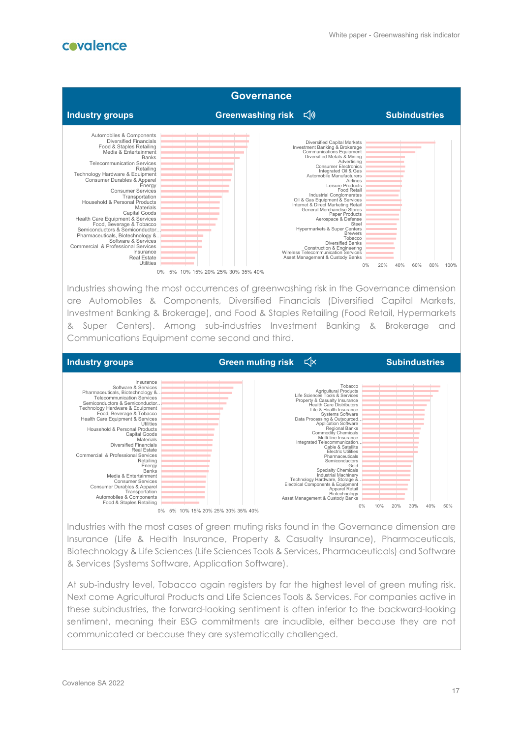

Insurance (Life & Health Insurance, Property & Casualty Insurance), Pharmaceuticals, Biotechnology & Life Sciences (Life Sciences Tools & Services, Pharmaceuticals) and Software & Services (Systems Software, Application Software).

At sub-industry level, Tobacco again registers by far the highest level of green muting risk. Next come Agricultural Products and Life Sciences Tools & Services. For companies active in these subindustries, the forward-looking sentiment is often inferior to the backward-looking sentiment, meaning their ESG commitments are inaudible, either because they are not communicated or because they are systematically challenged.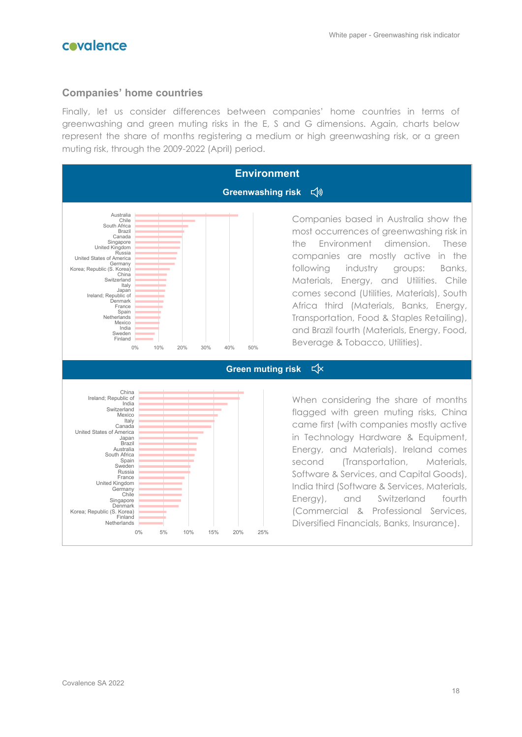

#### **Companies' home countries**

Finally, let us consider differences between companies' home countries in terms of greenwashing and green muting risks in the E, S and G dimensions. Again, charts below represent the share of months registering a medium or high greenwashing risk, or a green muting risk, through the 2009-2022 (April) period.



### Companies based in Australia show the most occurrences of greenwashing risk in the Environment dimension. These companies are mostly active in the following industry groups: Banks, Materials, Energy, and Utilities. Chile comes second (Utilities, Materials), South Africa third (Materials, Banks, Energy, Transportation, Food & Staples Retailing), and Brazil fourth (Materials, Energy, Food, Beverage & Tobacco, Utilities).

 $\leq$ 

When considering the share of months flagged with green muting risks, China came first (with companies mostly active in Technology Hardware & Equipment, Energy, and Materials). Ireland comes second (Transportation, Materials, Software & Services, and Capital Goods), India third (Software & Services, Materials, Energy), and Switzerland fourth (Commercial & Professional Services, Diversified Financials, Banks, Insurance).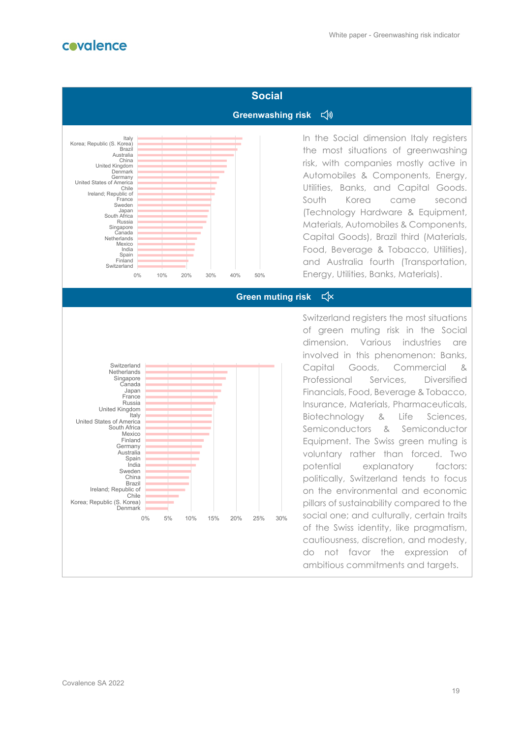

## **Social** Greenwashing risk  $\leq$ <sup>1</sup>



In the Social dimension Italy registers the most situations of greenwashing risk, with companies mostly active in Automobiles & Components, Energy, Utilities, Banks, and Capital Goods. South Korea came second (Technology Hardware & Equipment, Materials, Automobiles & Components, Capital Goods), Brazil third (Materials, Food, Beverage & Tobacco, Utilities), and Australia fourth (Transportation, Energy, Utilities, Banks, Materials).

 $\leq$   $\times$ **Green muting risk**



Switzerland registers the most situations of green muting risk in the Social dimension. Various industries are involved in this phenomenon: Banks, Capital Goods, Commercial & Professional Services, Diversified Financials, Food, Beverage & Tobacco, Insurance, Materials, Pharmaceuticals, Biotechnology & Life Sciences, Semiconductors & Semiconductor Equipment. The Swiss green muting is voluntary rather than forced. Two potential explanatory factors: politically, Switzerland tends to focus on the environmental and economic pillars of sustainability compared to the social one; and culturally, certain traits of the Swiss identity, like pragmatism, cautiousness, discretion, and modesty, do not favor the expression of ambitious commitments and targets.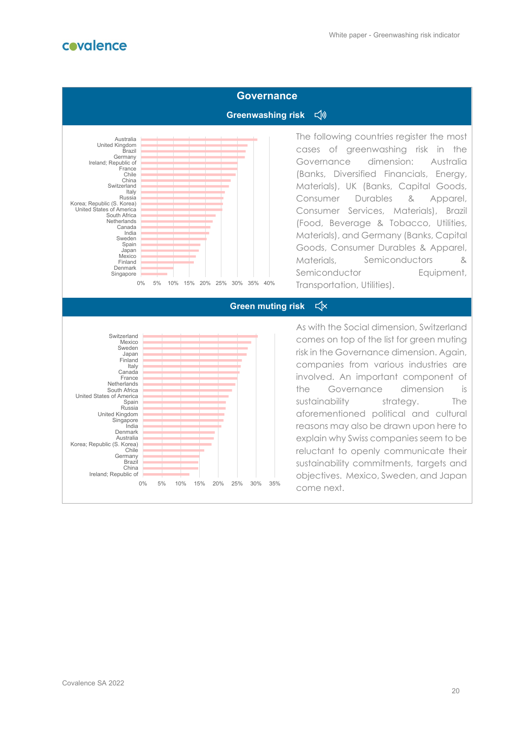

#### **Governance**

#### √》 **Greenwashing risk**



The following countries register the most cases of greenwashing risk in the Governance dimension: Australia (Banks, Diversified Financials, Energy, Materials), UK (Banks, Capital Goods, Consumer Durables & Apparel, Consumer Services, Materials), Brazil (Food, Beverage & Tobacco, Utilities, Materials), and Germany (Banks, Capital Goods, Consumer Durables & Apparel, Materials, Semiconductors & Semiconductor **Equipment**, Transportation, Utilities).

#### $\leq$   $\times$ **Green muting risk**



As with the Social dimension, Switzerland comes on top of the list for green muting risk in the Governance dimension. Again, companies from various industries are involved. An important component of the Governance dimension is sustainability strategy. The aforementioned political and cultural reasons may also be drawn upon here to explain why Swiss companies seem to be reluctant to openly communicate their sustainability commitments, targets and objectives. Mexico, Sweden, and Japan come next.